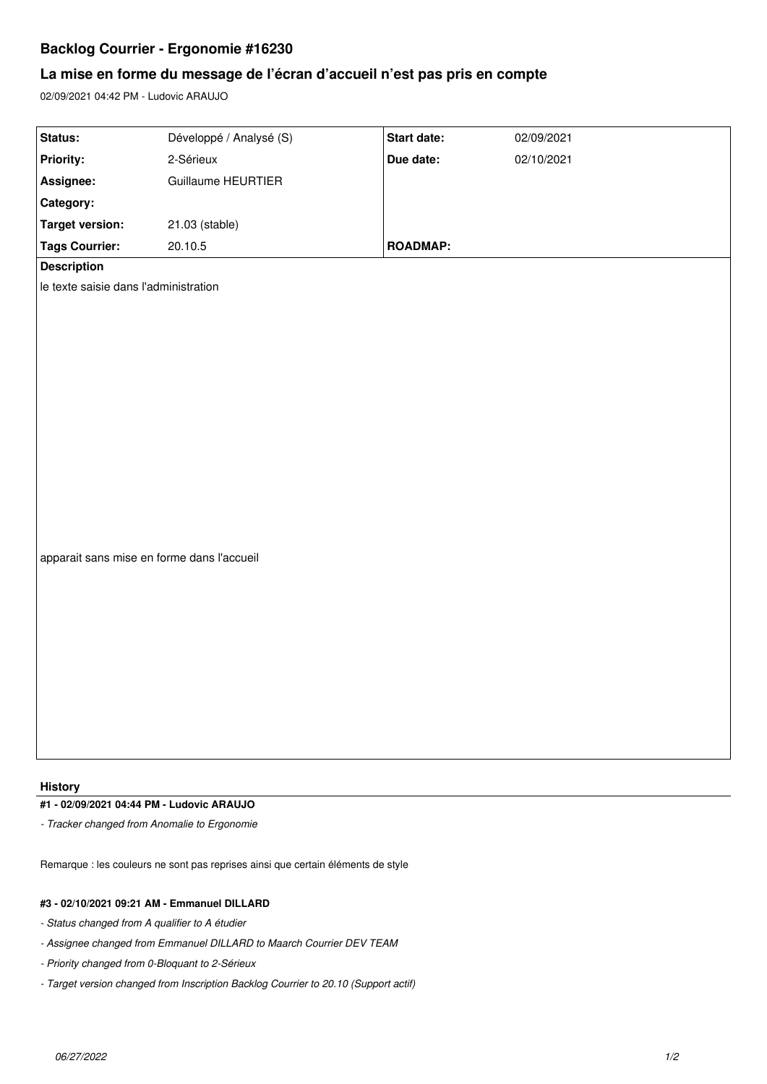# **Backlog Courrier - Ergonomie #16230**

# **La mise en forme du message de l'écran d'accueil n'est pas pris en compte**

02/09/2021 04:42 PM - Ludovic ARAUJO

| Status:                                    | Développé / Analysé (S) | Start date:     | 02/09/2021 |  |  |
|--------------------------------------------|-------------------------|-----------------|------------|--|--|
| <b>Priority:</b>                           | 2-Sérieux               | Due date:       | 02/10/2021 |  |  |
| Assignee:                                  | Guillaume HEURTIER      |                 |            |  |  |
| Category:                                  |                         |                 |            |  |  |
| <b>Target version:</b>                     | 21.03 (stable)          |                 |            |  |  |
| <b>Tags Courrier:</b>                      | 20.10.5                 | <b>ROADMAP:</b> |            |  |  |
| <b>Description</b>                         |                         |                 |            |  |  |
| le texte saisie dans l'administration      |                         |                 |            |  |  |
|                                            |                         |                 |            |  |  |
|                                            |                         |                 |            |  |  |
|                                            |                         |                 |            |  |  |
|                                            |                         |                 |            |  |  |
|                                            |                         |                 |            |  |  |
|                                            |                         |                 |            |  |  |
|                                            |                         |                 |            |  |  |
|                                            |                         |                 |            |  |  |
|                                            |                         |                 |            |  |  |
|                                            |                         |                 |            |  |  |
|                                            |                         |                 |            |  |  |
|                                            |                         |                 |            |  |  |
| apparait sans mise en forme dans l'accueil |                         |                 |            |  |  |
|                                            |                         |                 |            |  |  |
|                                            |                         |                 |            |  |  |
|                                            |                         |                 |            |  |  |
|                                            |                         |                 |            |  |  |
|                                            |                         |                 |            |  |  |
|                                            |                         |                 |            |  |  |
|                                            |                         |                 |            |  |  |
|                                            |                         |                 |            |  |  |
|                                            |                         |                 |            |  |  |
|                                            |                         |                 |            |  |  |

# **History**

### **#1 - 02/09/2021 04:44 PM - Ludovic ARAUJO**

*- Tracker changed from Anomalie to Ergonomie*

Remarque : les couleurs ne sont pas reprises ainsi que certain éléments de style

## **#3 - 02/10/2021 09:21 AM - Emmanuel DILLARD**

- *Status changed from A qualifier to A étudier*
- *Assignee changed from Emmanuel DILLARD to Maarch Courrier DEV TEAM*
- *Priority changed from 0-Bloquant to 2-Sérieux*
- *Target version changed from Inscription Backlog Courrier to 20.10 (Support actif)*